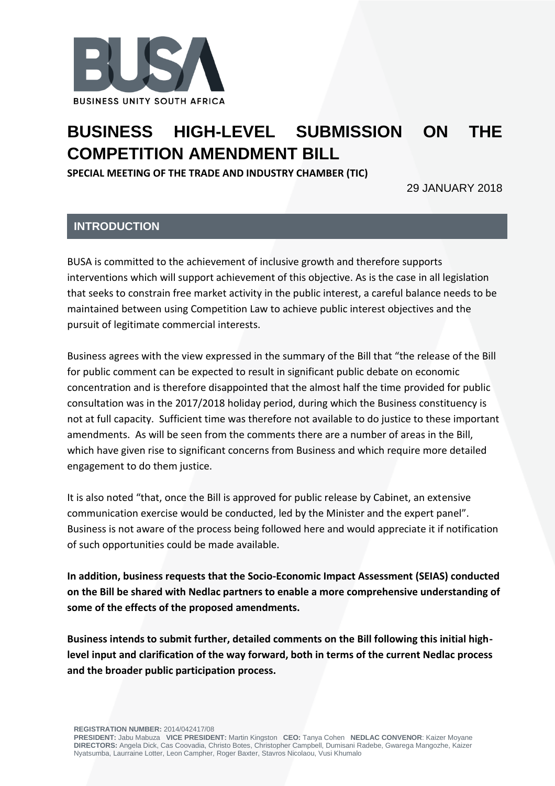

# **BUSINESS HIGH-LEVEL SUBMISSION ON THE COMPETITION AMENDMENT BILL**

**SPECIAL MEETING OF THE TRADE AND INDUSTRY CHAMBER (TIC)**

29 JANUARY 2018

## **INTRODUCTION**

BUSA is committed to the achievement of inclusive growth and therefore supports interventions which will support achievement of this objective. As is the case in all legislation that seeks to constrain free market activity in the public interest, a careful balance needs to be maintained between using Competition Law to achieve public interest objectives and the pursuit of legitimate commercial interests.

Business agrees with the view expressed in the summary of the Bill that "the release of the Bill for public comment can be expected to result in significant public debate on economic concentration and is therefore disappointed that the almost half the time provided for public consultation was in the 2017/2018 holiday period, during which the Business constituency is not at full capacity. Sufficient time was therefore not available to do justice to these important amendments. As will be seen from the comments there are a number of areas in the Bill, which have given rise to significant concerns from Business and which require more detailed engagement to do them justice.

It is also noted "that, once the Bill is approved for public release by Cabinet, an extensive communication exercise would be conducted, led by the Minister and the expert panel". Business is not aware of the process being followed here and would appreciate it if notification of such opportunities could be made available.

**In addition, business requests that the Socio-Economic Impact Assessment (SEIAS) conducted on the Bill be shared with Nedlac partners to enable a more comprehensive understanding of some of the effects of the proposed amendments.** 

**Business intends to submit further, detailed comments on the Bill following this initial highlevel input and clarification of the way forward, both in terms of the current Nedlac process and the broader public participation process.** 

**REGISTRATION NUMBER:** 2014/042417/08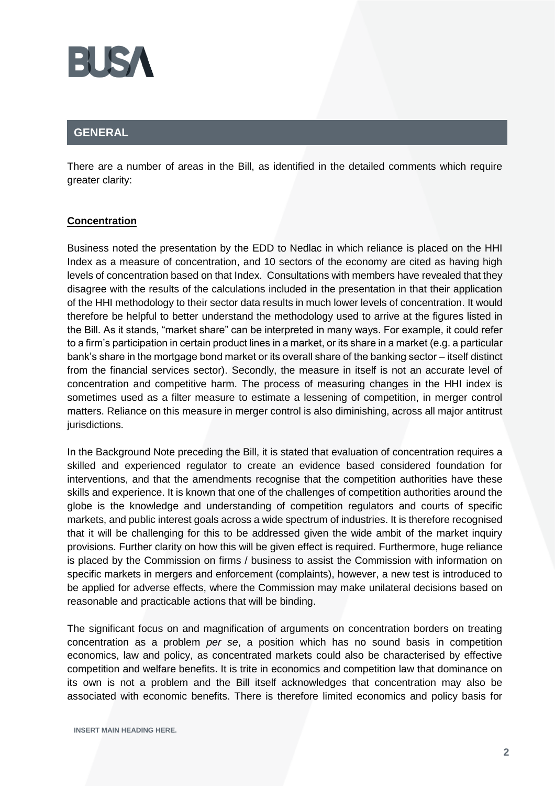

## **GENERAL**

There are a number of areas in the Bill, as identified in the detailed comments which require greater clarity:

### **Concentration**

Business noted the presentation by the EDD to Nedlac in which reliance is placed on the HHI Index as a measure of concentration, and 10 sectors of the economy are cited as having high levels of concentration based on that Index. Consultations with members have revealed that they disagree with the results of the calculations included in the presentation in that their application of the HHI methodology to their sector data results in much lower levels of concentration. It would therefore be helpful to better understand the methodology used to arrive at the figures listed in the Bill. As it stands, "market share" can be interpreted in many ways. For example, it could refer to a firm's participation in certain product lines in a market, or its share in a market (e.g. a particular bank's share in the mortgage bond market or its overall share of the banking sector – itself distinct from the financial services sector). Secondly, the measure in itself is not an accurate level of concentration and competitive harm. The process of measuring changes in the HHI index is sometimes used as a filter measure to estimate a lessening of competition, in merger control matters. Reliance on this measure in merger control is also diminishing, across all major antitrust jurisdictions.

In the Background Note preceding the Bill, it is stated that evaluation of concentration requires a skilled and experienced regulator to create an evidence based considered foundation for interventions, and that the amendments recognise that the competition authorities have these skills and experience. It is known that one of the challenges of competition authorities around the globe is the knowledge and understanding of competition regulators and courts of specific markets, and public interest goals across a wide spectrum of industries. It is therefore recognised that it will be challenging for this to be addressed given the wide ambit of the market inquiry provisions. Further clarity on how this will be given effect is required. Furthermore, huge reliance is placed by the Commission on firms / business to assist the Commission with information on specific markets in mergers and enforcement (complaints), however, a new test is introduced to be applied for adverse effects, where the Commission may make unilateral decisions based on reasonable and practicable actions that will be binding.

The significant focus on and magnification of arguments on concentration borders on treating concentration as a problem *per se*, a position which has no sound basis in competition economics, law and policy, as concentrated markets could also be characterised by effective competition and welfare benefits. It is trite in economics and competition law that dominance on its own is not a problem and the Bill itself acknowledges that concentration may also be associated with economic benefits. There is therefore limited economics and policy basis for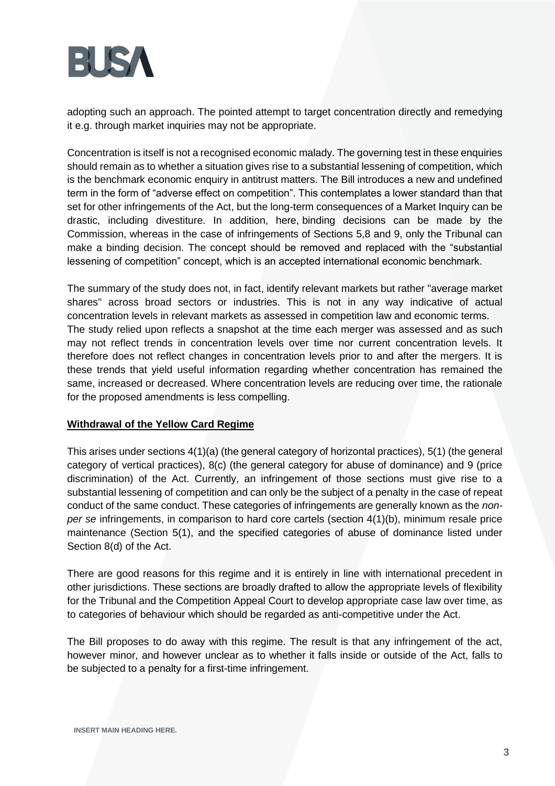

adopting such an approach. The pointed attempt to target concentration directly and remedying it e.g. through market inquiries may not be appropriate.

Concentration is itself is not a recognised economic malady. The governing test in these enquiries should remain as to whether a situation gives rise to a substantial lessening of competition, which is the benchmark economic enquiry in antitrust matters. The Bill introduces a new and undefined term in the form of "adverse effect on competition". This contemplates a lower standard than that set for other infringements of the Act, but the long-term consequences of a Market Inquiry can be drastic, including divestiture. In addition, here, binding decisions can be made by the Commission, whereas in the case of infringements of Sections 5,8 and 9, only the Tribunal can make a binding decision. The concept should be removed and replaced with the "substantial lessening of competition" concept, which is an accepted international economic benchmark.

The summary of the study does not, in fact, identify relevant markets but rather "average market shares" across broad sectors or industries. This is not in any way indicative of actual concentration levels in relevant markets as assessed in competition law and economic terms. The study relied upon reflects a snapshot at the time each merger was assessed and as such may not reflect trends in concentration levels over time nor current concentration levels. It therefore does not reflect changes in concentration levels prior to and after the mergers. It is these trends that yield useful information regarding whether concentration has remained the same, increased or decreased. Where concentration levels are reducing over time, the rationale for the proposed amendments is less compelling.

#### **Withdrawal of the Yellow Card Regime**

This arises under sections 4(1)(a) (the general category of horizontal practices), 5(1) (the general category of vertical practices), 8(c) (the general category for abuse of dominance) and 9 (price discrimination) of the Act. Currently, an infringement of those sections must give rise to a substantial lessening of competition and can only be the subject of a penalty in the case of repeat conduct of the same conduct. These categories of infringements are generally known as the *nonper se* infringements, in comparison to hard core cartels (section 4(1)(b), minimum resale price maintenance (Section 5(1), and the specified categories of abuse of dominance listed under Section 8(d) of the Act.

There are good reasons for this regime and it is entirely in line with international precedent in other jurisdictions. These sections are broadly drafted to allow the appropriate levels of flexibility for the Tribunal and the Competition Appeal Court to develop appropriate case law over time, as to categories of behaviour which should be regarded as anti-competitive under the Act.

The Bill proposes to do away with this regime. The result is that any infringement of the act, however minor, and however unclear as to whether it falls inside or outside of the Act, falls to be subjected to a penalty for a first-time infringement.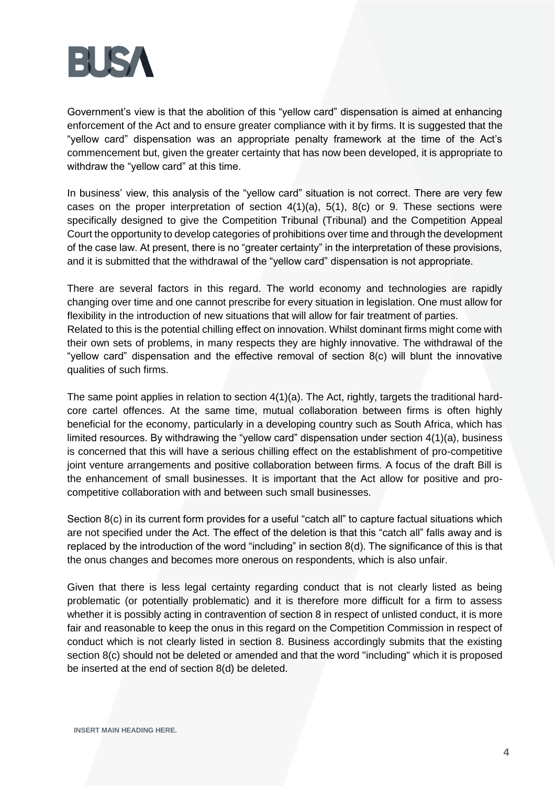

Government's view is that the abolition of this "yellow card" dispensation is aimed at enhancing enforcement of the Act and to ensure greater compliance with it by firms. It is suggested that the "yellow card" dispensation was an appropriate penalty framework at the time of the Act's commencement but, given the greater certainty that has now been developed, it is appropriate to withdraw the "yellow card" at this time.

In business' view, this analysis of the "yellow card" situation is not correct. There are very few cases on the proper interpretation of section  $4(1)(a)$ ,  $5(1)$ ,  $8(c)$  or 9. These sections were specifically designed to give the Competition Tribunal (Tribunal) and the Competition Appeal Court the opportunity to develop categories of prohibitions over time and through the development of the case law. At present, there is no "greater certainty" in the interpretation of these provisions, and it is submitted that the withdrawal of the "yellow card" dispensation is not appropriate.

There are several factors in this regard. The world economy and technologies are rapidly changing over time and one cannot prescribe for every situation in legislation. One must allow for flexibility in the introduction of new situations that will allow for fair treatment of parties. Related to this is the potential chilling effect on innovation. Whilst dominant firms might come with their own sets of problems, in many respects they are highly innovative. The withdrawal of the "yellow card" dispensation and the effective removal of section 8(c) will blunt the innovative qualities of such firms.

The same point applies in relation to section 4(1)(a). The Act, rightly, targets the traditional hardcore cartel offences. At the same time, mutual collaboration between firms is often highly beneficial for the economy, particularly in a developing country such as South Africa, which has limited resources. By withdrawing the "yellow card" dispensation under section 4(1)(a), business is concerned that this will have a serious chilling effect on the establishment of pro-competitive joint venture arrangements and positive collaboration between firms. A focus of the draft Bill is the enhancement of small businesses. It is important that the Act allow for positive and procompetitive collaboration with and between such small businesses.

Section 8(c) in its current form provides for a useful "catch all" to capture factual situations which are not specified under the Act. The effect of the deletion is that this "catch all" falls away and is replaced by the introduction of the word "including" in section 8(d). The significance of this is that the onus changes and becomes more onerous on respondents, which is also unfair.

Given that there is less legal certainty regarding conduct that is not clearly listed as being problematic (or potentially problematic) and it is therefore more difficult for a firm to assess whether it is possibly acting in contravention of section 8 in respect of unlisted conduct, it is more fair and reasonable to keep the onus in this regard on the Competition Commission in respect of conduct which is not clearly listed in section 8. Business accordingly submits that the existing section 8(c) should not be deleted or amended and that the word "including" which it is proposed be inserted at the end of section 8(d) be deleted.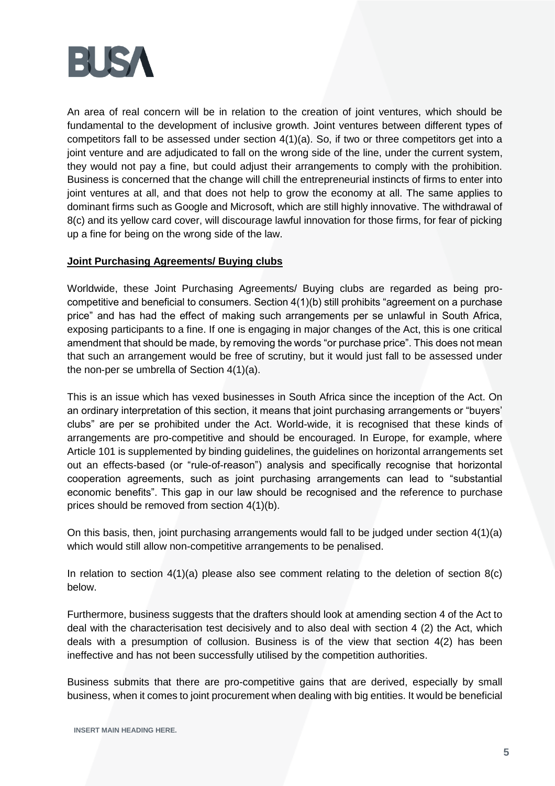

An area of real concern will be in relation to the creation of joint ventures, which should be fundamental to the development of inclusive growth. Joint ventures between different types of competitors fall to be assessed under section 4(1)(a). So, if two or three competitors get into a joint venture and are adjudicated to fall on the wrong side of the line, under the current system, they would not pay a fine, but could adjust their arrangements to comply with the prohibition. Business is concerned that the change will chill the entrepreneurial instincts of firms to enter into joint ventures at all, and that does not help to grow the economy at all. The same applies to dominant firms such as Google and Microsoft, which are still highly innovative. The withdrawal of 8(c) and its yellow card cover, will discourage lawful innovation for those firms, for fear of picking up a fine for being on the wrong side of the law.

#### **Joint Purchasing Agreements/ Buying clubs**

Worldwide, these Joint Purchasing Agreements/ Buying clubs are regarded as being procompetitive and beneficial to consumers. Section 4(1)(b) still prohibits "agreement on a purchase price" and has had the effect of making such arrangements per se unlawful in South Africa, exposing participants to a fine. If one is engaging in major changes of the Act, this is one critical amendment that should be made, by removing the words "or purchase price". This does not mean that such an arrangement would be free of scrutiny, but it would just fall to be assessed under the non-per se umbrella of Section 4(1)(a).

This is an issue which has vexed businesses in South Africa since the inception of the Act. On an ordinary interpretation of this section, it means that joint purchasing arrangements or "buyers' clubs" are per se prohibited under the Act. World-wide, it is recognised that these kinds of arrangements are pro-competitive and should be encouraged. In Europe, for example, where Article 101 is supplemented by binding guidelines, the guidelines on horizontal arrangements set out an effects-based (or "rule-of-reason") analysis and specifically recognise that horizontal cooperation agreements, such as joint purchasing arrangements can lead to "substantial economic benefits". This gap in our law should be recognised and the reference to purchase prices should be removed from section 4(1)(b).

On this basis, then, joint purchasing arrangements would fall to be judged under section 4(1)(a) which would still allow non-competitive arrangements to be penalised.

In relation to section  $4(1)(a)$  please also see comment relating to the deletion of section  $8(c)$ below.

Furthermore, business suggests that the drafters should look at amending section 4 of the Act to deal with the characterisation test decisively and to also deal with section 4 (2) the Act, which deals with a presumption of collusion. Business is of the view that section 4(2) has been ineffective and has not been successfully utilised by the competition authorities.

Business submits that there are pro-competitive gains that are derived, especially by small business, when it comes to joint procurement when dealing with big entities. It would be beneficial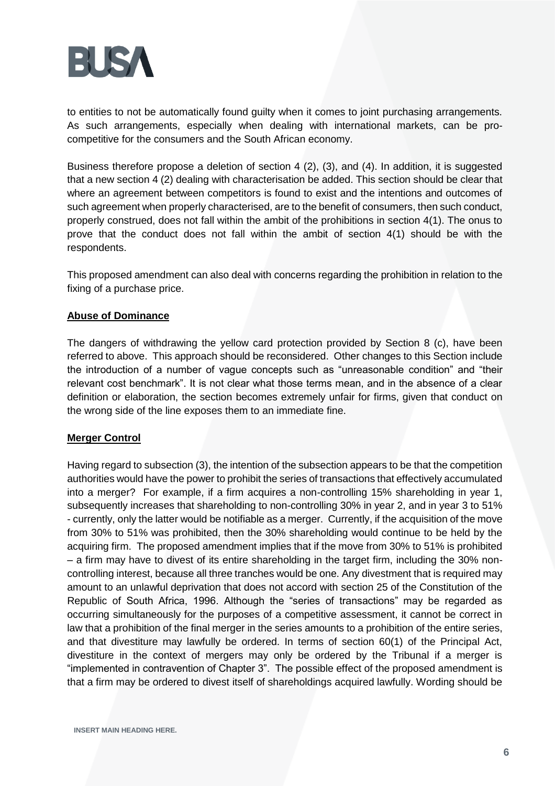

to entities to not be automatically found guilty when it comes to joint purchasing arrangements. As such arrangements, especially when dealing with international markets, can be procompetitive for the consumers and the South African economy.

Business therefore propose a deletion of section 4 (2), (3), and (4). In addition, it is suggested that a new section 4 (2) dealing with characterisation be added. This section should be clear that where an agreement between competitors is found to exist and the intentions and outcomes of such agreement when properly characterised, are to the benefit of consumers, then such conduct, properly construed, does not fall within the ambit of the prohibitions in section 4(1). The onus to prove that the conduct does not fall within the ambit of section 4(1) should be with the respondents.

This proposed amendment can also deal with concerns regarding the prohibition in relation to the fixing of a purchase price.

#### **Abuse of Dominance**

The dangers of withdrawing the yellow card protection provided by Section 8 (c), have been referred to above. This approach should be reconsidered. Other changes to this Section include the introduction of a number of vague concepts such as "unreasonable condition" and "their relevant cost benchmark". It is not clear what those terms mean, and in the absence of a clear definition or elaboration, the section becomes extremely unfair for firms, given that conduct on the wrong side of the line exposes them to an immediate fine.

#### **Merger Control**

Having regard to subsection (3), the intention of the subsection appears to be that the competition authorities would have the power to prohibit the series of transactions that effectively accumulated into a merger? For example, if a firm acquires a non-controlling 15% shareholding in year 1, subsequently increases that shareholding to non-controlling 30% in year 2, and in year 3 to 51% - currently, only the latter would be notifiable as a merger. Currently, if the acquisition of the move from 30% to 51% was prohibited, then the 30% shareholding would continue to be held by the acquiring firm. The proposed amendment implies that if the move from 30% to 51% is prohibited – a firm may have to divest of its entire shareholding in the target firm, including the 30% noncontrolling interest, because all three tranches would be one. Any divestment that is required may amount to an unlawful deprivation that does not accord with section 25 of the Constitution of the Republic of South Africa, 1996. Although the "series of transactions" may be regarded as occurring simultaneously for the purposes of a competitive assessment, it cannot be correct in law that a prohibition of the final merger in the series amounts to a prohibition of the entire series, and that divestiture may lawfully be ordered. In terms of section 60(1) of the Principal Act, divestiture in the context of mergers may only be ordered by the Tribunal if a merger is "implemented in contravention of Chapter 3". The possible effect of the proposed amendment is that a firm may be ordered to divest itself of shareholdings acquired lawfully. Wording should be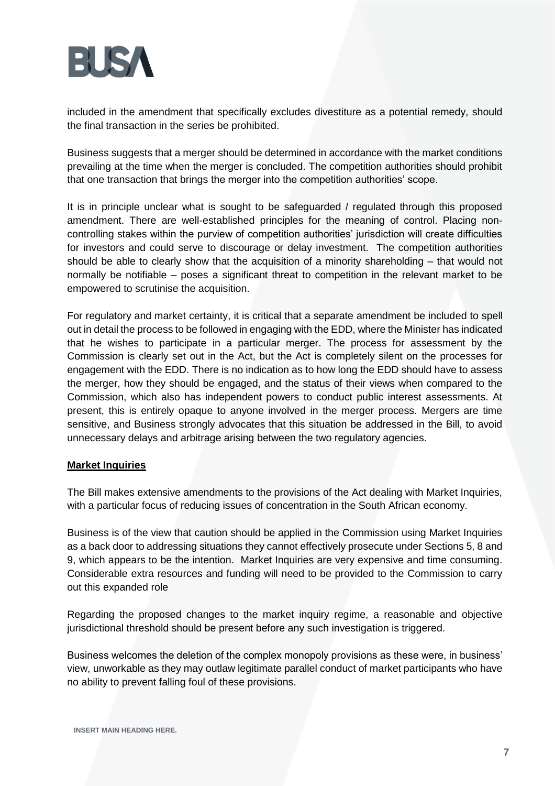

included in the amendment that specifically excludes divestiture as a potential remedy, should the final transaction in the series be prohibited.

Business suggests that a merger should be determined in accordance with the market conditions prevailing at the time when the merger is concluded. The competition authorities should prohibit that one transaction that brings the merger into the competition authorities' scope.

It is in principle unclear what is sought to be safeguarded / regulated through this proposed amendment. There are well-established principles for the meaning of control. Placing noncontrolling stakes within the purview of competition authorities' jurisdiction will create difficulties for investors and could serve to discourage or delay investment. The competition authorities should be able to clearly show that the acquisition of a minority shareholding – that would not normally be notifiable – poses a significant threat to competition in the relevant market to be empowered to scrutinise the acquisition.

For regulatory and market certainty, it is critical that a separate amendment be included to spell out in detail the process to be followed in engaging with the EDD, where the Minister has indicated that he wishes to participate in a particular merger. The process for assessment by the Commission is clearly set out in the Act, but the Act is completely silent on the processes for engagement with the EDD. There is no indication as to how long the EDD should have to assess the merger, how they should be engaged, and the status of their views when compared to the Commission, which also has independent powers to conduct public interest assessments. At present, this is entirely opaque to anyone involved in the merger process. Mergers are time sensitive, and Business strongly advocates that this situation be addressed in the Bill, to avoid unnecessary delays and arbitrage arising between the two regulatory agencies.

#### **Market Inquiries**

The Bill makes extensive amendments to the provisions of the Act dealing with Market Inquiries, with a particular focus of reducing issues of concentration in the South African economy.

Business is of the view that caution should be applied in the Commission using Market Inquiries as a back door to addressing situations they cannot effectively prosecute under Sections 5, 8 and 9, which appears to be the intention. Market Inquiries are very expensive and time consuming. Considerable extra resources and funding will need to be provided to the Commission to carry out this expanded role

Regarding the proposed changes to the market inquiry regime, a reasonable and objective jurisdictional threshold should be present before any such investigation is triggered.

Business welcomes the deletion of the complex monopoly provisions as these were, in business' view, unworkable as they may outlaw legitimate parallel conduct of market participants who have no ability to prevent falling foul of these provisions.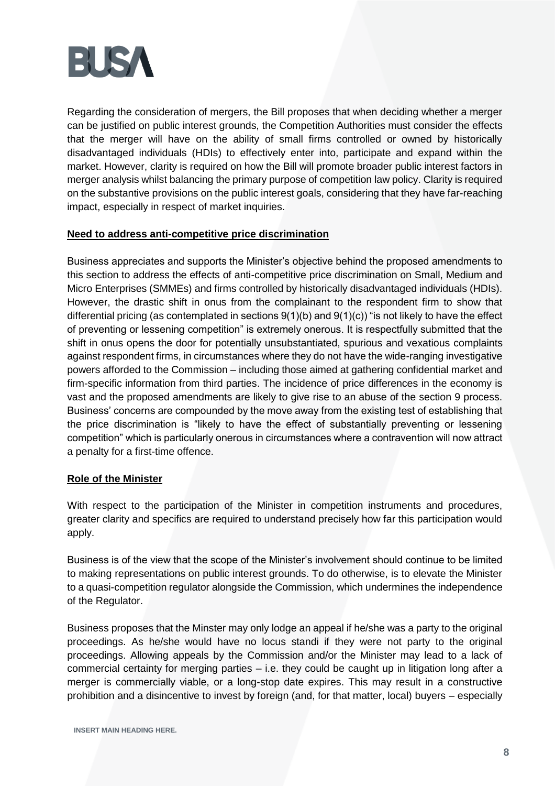

Regarding the consideration of mergers, the Bill proposes that when deciding whether a merger can be justified on public interest grounds, the Competition Authorities must consider the effects that the merger will have on the ability of small firms controlled or owned by historically disadvantaged individuals (HDIs) to effectively enter into, participate and expand within the market. However, clarity is required on how the Bill will promote broader public interest factors in merger analysis whilst balancing the primary purpose of competition law policy. Clarity is required on the substantive provisions on the public interest goals, considering that they have far-reaching impact, especially in respect of market inquiries.

#### **Need to address anti-competitive price discrimination**

Business appreciates and supports the Minister's objective behind the proposed amendments to this section to address the effects of anti-competitive price discrimination on Small, Medium and Micro Enterprises (SMMEs) and firms controlled by historically disadvantaged individuals (HDIs). However, the drastic shift in onus from the complainant to the respondent firm to show that differential pricing (as contemplated in sections 9(1)(b) and 9(1)(c)) "is not likely to have the effect of preventing or lessening competition" is extremely onerous. It is respectfully submitted that the shift in onus opens the door for potentially unsubstantiated, spurious and vexatious complaints against respondent firms, in circumstances where they do not have the wide-ranging investigative powers afforded to the Commission – including those aimed at gathering confidential market and firm-specific information from third parties. The incidence of price differences in the economy is vast and the proposed amendments are likely to give rise to an abuse of the section 9 process. Business' concerns are compounded by the move away from the existing test of establishing that the price discrimination is "likely to have the effect of substantially preventing or lessening competition" which is particularly onerous in circumstances where a contravention will now attract a penalty for a first-time offence.

#### **Role of the Minister**

With respect to the participation of the Minister in competition instruments and procedures, greater clarity and specifics are required to understand precisely how far this participation would apply.

Business is of the view that the scope of the Minister's involvement should continue to be limited to making representations on public interest grounds. To do otherwise, is to elevate the Minister to a quasi-competition regulator alongside the Commission, which undermines the independence of the Regulator.

Business proposes that the Minster may only lodge an appeal if he/she was a party to the original proceedings. As he/she would have no locus standi if they were not party to the original proceedings. Allowing appeals by the Commission and/or the Minister may lead to a lack of commercial certainty for merging parties – i.e. they could be caught up in litigation long after a merger is commercially viable, or a long-stop date expires. This may result in a constructive prohibition and a disincentive to invest by foreign (and, for that matter, local) buyers – especially